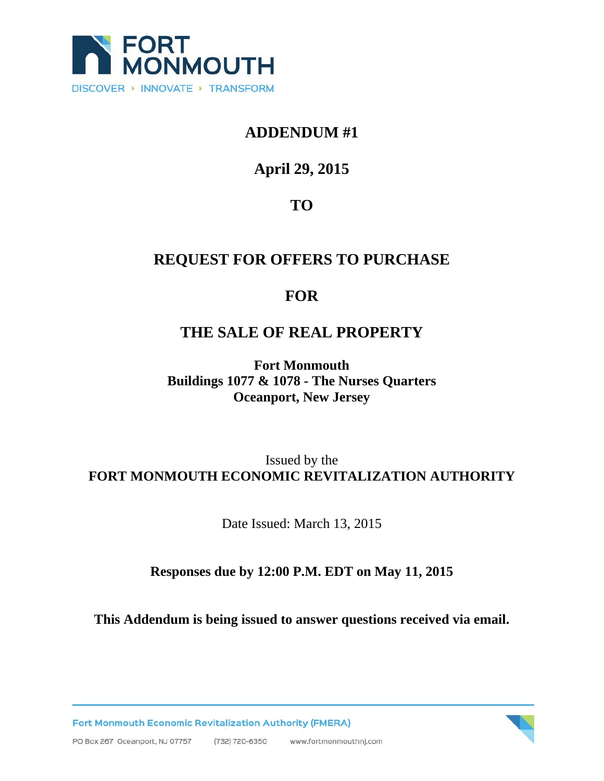

#### **ADDENDUM #1**

# **April 29, 2015**

# **TO**

## **REQUEST FOR OFFERS TO PURCHASE**

#### **FOR**

## **THE SALE OF REAL PROPERTY**

**Fort Monmouth Buildings 1077 & 1078 - The Nurses Quarters Oceanport, New Jersey** 

#### Issued by the **FORT MONMOUTH ECONOMIC REVITALIZATION AUTHORITY**

Date Issued: March 13, 2015

#### **Responses due by 12:00 P.M. EDT on May 11, 2015**

**This Addendum is being issued to answer questions received via email.** 

Fort Monmouth Economic Revitalization Authority (FMERA)